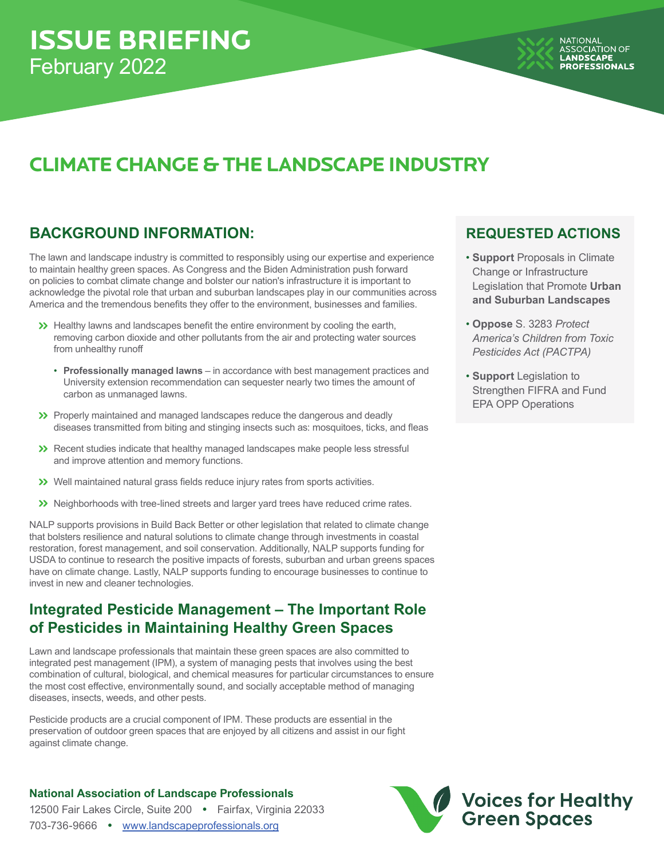# **CLIMATE CHANGE & THE LANDSCAPE INDUSTRY**

## **BACKGROUND INFORMATION: REQUESTED ACTIONS**

The lawn and landscape industry is committed to responsibly using our expertise and experience to maintain healthy green spaces. As Congress and the Biden Administration push forward on policies to combat climate change and bolster our nation's infrastructure it is important to acknowledge the pivotal role that urban and suburban landscapes play in our communities across America and the tremendous benefits they offer to the environment, businesses and families.

- Healthy lawns and landscapes benefit the entire environment by cooling the earth, removing carbon dioxide and other pollutants from the air and protecting water sources from unhealthy runoff
	- **Professionally managed lawns** in accordance with best management practices and University extension recommendation can sequester nearly two times the amount of carbon as unmanaged lawns.
- Properly maintained and managed landscapes reduce the dangerous and deadly diseases transmitted from biting and stinging insects such as: mosquitoes, ticks, and fleas
- Recent studies indicate that healthy managed landscapes make people less stressful and improve attention and memory functions.
- Well maintained natural grass fields reduce injury rates from sports activities.
- $\gg$  Neighborhoods with tree-lined streets and larger yard trees have reduced crime rates.

NALP supports provisions in Build Back Better or other legislation that related to climate change that bolsters resilience and natural solutions to climate change through investments in coastal restoration, forest management, and soil conservation. Additionally, NALP supports funding for USDA to continue to research the positive impacts of forests, suburban and urban greens spaces have on climate change. Lastly, NALP supports funding to encourage businesses to continue to invest in new and cleaner technologies.

## **Integrated Pesticide Management – The Important Role of Pesticides in Maintaining Healthy Green Spaces**

Lawn and landscape professionals that maintain these green spaces are also committed to integrated pest management (IPM), a system of managing pests that involves using the best combination of cultural, biological, and chemical measures for particular circumstances to ensure the most cost effective, environmentally sound, and socially acceptable method of managing diseases, insects, weeds, and other pests.

Pesticide products are a crucial component of IPM. These products are essential in the preservation of outdoor green spaces that are enjoyed by all citizens and assist in our fight against climate change.

### **National Association of Landscape Professionals**

12500 Fair Lakes Circle, Suite 200 **•** Fairfax, Virginia 22033 703-736-9666 **•** www.landscapeprofessionals.org

- **Support** Proposals in Climate Change or Infrastructure Legislation that Promote **Urban and Suburban Landscapes**
- **Oppose** S. 3283 *Protect America's Children from Toxic Pesticides Act (PACTPA)*
- **Support** Legislation to Strengthen FIFRA and Fund EPA OPP Operations